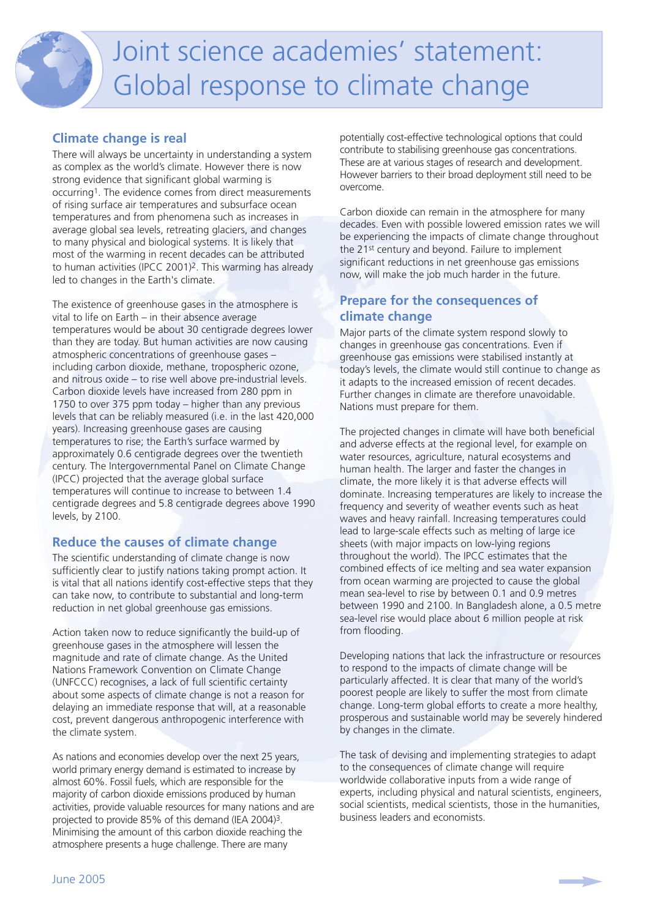# **Climate change is real**

There will always be uncertainty in understanding a system as complex as the world's climate. However there is now strong evidence that significant global warming is occurring1. The evidence comes from direct measurements of rising surface air temperatures and subsurface ocean temperatures and from phenomena such as increases in average global sea levels, retreating glaciers, and changes to many physical and biological systems. It is likely that most of the warming in recent decades can be attributed to human activities (IPCC 2001)2. This warming has already led to changes in the Earth's climate.

The existence of greenhouse gases in the atmosphere is vital to life on Earth – in their absence average temperatures would be about 30 centigrade degrees lower than they are today. But human activities are now causing atmospheric concentrations of greenhouse gases – including carbon dioxide, methane, tropospheric ozone, and nitrous oxide – to rise well above pre-industrial levels. Carbon dioxide levels have increased from 280 ppm in 1750 to over 375 ppm today – higher than any previous levels that can be reliably measured (i.e. in the last 420,000 years). Increasing greenhouse gases are causing temperatures to rise; the Earth's surface warmed by approximately 0.6 centigrade degrees over the twentieth century. The Intergovernmental Panel on Climate Change (IPCC) projected that the average global surface temperatures will continue to increase to between 1.4 centigrade degrees and 5.8 centigrade degrees above 1990 levels, by 2100.

# **Reduce the causes of climate change**

The scientific understanding of climate change is now sufficiently clear to justify nations taking prompt action. It is vital that all nations identify cost-effective steps that they can take now, to contribute to substantial and long-term reduction in net global greenhouse gas emissions.

Action taken now to reduce significantly the build-up of greenhouse gases in the atmosphere will lessen the magnitude and rate of climate change. As the United Nations Framework Convention on Climate Change (UNFCCC) recognises, a lack of full scientific certainty about some aspects of climate change is not a reason for delaying an immediate response that will, at a reasonable cost, prevent dangerous anthropogenic interference with the climate system.

As nations and economies develop over the next 25 years, world primary energy demand is estimated to increase by almost 60%. Fossil fuels, which are responsible for the majority of carbon dioxide emissions produced by human activities, provide valuable resources for many nations and are projected to provide 85% of this demand (IEA 2004)3. Minimising the amount of this carbon dioxide reaching the atmosphere presents a huge challenge. There are many

potentially cost-effective technological options that could contribute to stabilising greenhouse gas concentrations. These are at various stages of research and development. However barriers to their broad deployment still need to be overcome.

Carbon dioxide can remain in the atmosphere for many decades. Even with possible lowered emission rates we will be experiencing the impacts of climate change throughout the 21st century and beyond. Failure to implement significant reductions in net greenhouse gas emissions now, will make the job much harder in the future.

## **Prepare for the consequences of climate change**

Major parts of the climate system respond slowly to changes in greenhouse gas concentrations. Even if greenhouse gas emissions were stabilised instantly at today's levels, the climate would still continue to change as it adapts to the increased emission of recent decades. Further changes in climate are therefore unavoidable. Nations must prepare for them.

The projected changes in climate will have both beneficial and adverse effects at the regional level, for example on water resources, agriculture, natural ecosystems and human health. The larger and faster the changes in climate, the more likely it is that adverse effects will dominate. Increasing temperatures are likely to increase the frequency and severity of weather events such as heat waves and heavy rainfall. Increasing temperatures could lead to large-scale effects such as melting of large ice sheets (with major impacts on low-lying regions throughout the world). The IPCC estimates that the combined effects of ice melting and sea water expansion from ocean warming are projected to cause the global mean sea-level to rise by between 0.1 and 0.9 metres between 1990 and 2100. In Bangladesh alone, a 0.5 metre sea-level rise would place about 6 million people at risk from flooding.

Developing nations that lack the infrastructure or resources to respond to the impacts of climate change will be particularly affected. It is clear that many of the world's poorest people are likely to suffer the most from climate change. Long-term global efforts to create a more healthy, prosperous and sustainable world may be severely hindered by changes in the climate.

The task of devising and implementing strategies to adapt to the consequences of climate change will require worldwide collaborative inputs from a wide range of experts, including physical and natural scientists, engineers, social scientists, medical scientists, those in the humanities, business leaders and economists.